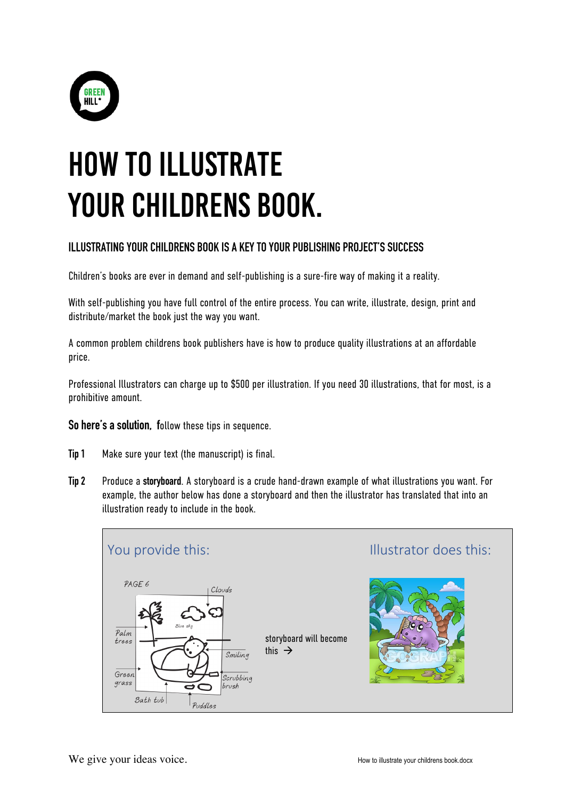

## HOW TO ILLUSTRATE YOUR CHILDRENS BOOK.

## **ILLUSTRATING YOUR CHILDRENS BOOK IS A KEY TO YOUR PUBLISHING PROJECT'S SUCCESS**

Children's books are ever in demand and self-publishing is a sure-fire way of making it a reality.

With self-publishing you have full control of the entire process. You can write, illustrate, design, print and distribute/market the book just the way you want.

A common problem childrens book publishers have is how to produce quality illustrations at an affordable price.

Professional Illustrators can charge up to \$500 per illustration. If you need 30 illustrations, that for most, is a prohibitive amount.

**So here's a solution, f**ollow these tips in sequence.

- **Tip 1** Make sure your text (the manuscript) is final.
- **Tip 2** Produce a **storyboard**. A storyboard is a crude hand-drawn example of what illustrations you want. For example, the author below has done a storyboard and then the illustrator has translated that into an illustration ready to include in the book.

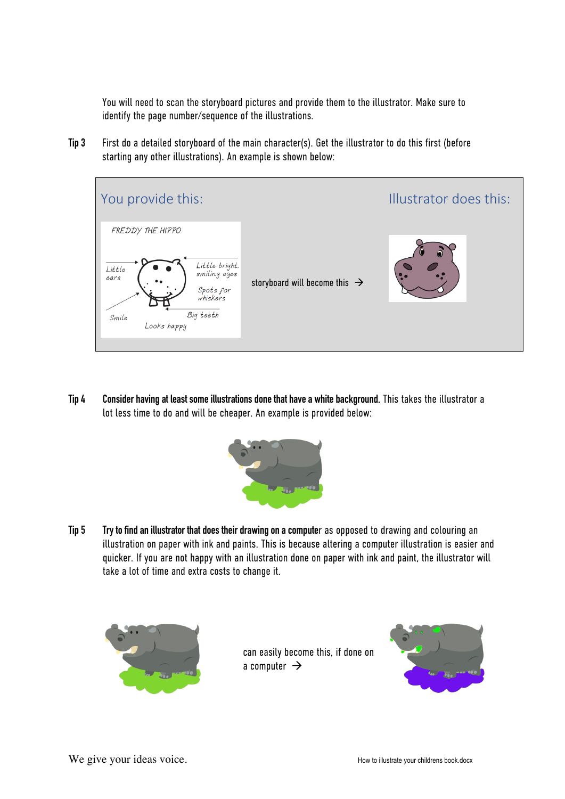You will need to scan the storyboard pictures and provide them to the illustrator. Make sure to identify the page number/sequence of the illustrations.

**Tip 3** First do a detailed storyboard of the main character(s). Get the illustrator to do this first (before starting any other illustrations). An example is shown below:



**Tip 4 Consider havingat least some illustrations done that have a white background.** This takes the illustrator a lot less time to do and will be cheaper. An example is provided below:



**Tip 5 Try to find an illustrator that does their drawing on a compute**r as opposed to drawing and colouring an illustration on paper with ink and paints. This is because altering a computer illustration is easier and quicker. If you are not happy with an illustration done on paper with ink and paint, the illustrator will take a lot of time and extra costs to change it.



can easily become this, if done on a computer  $\rightarrow$